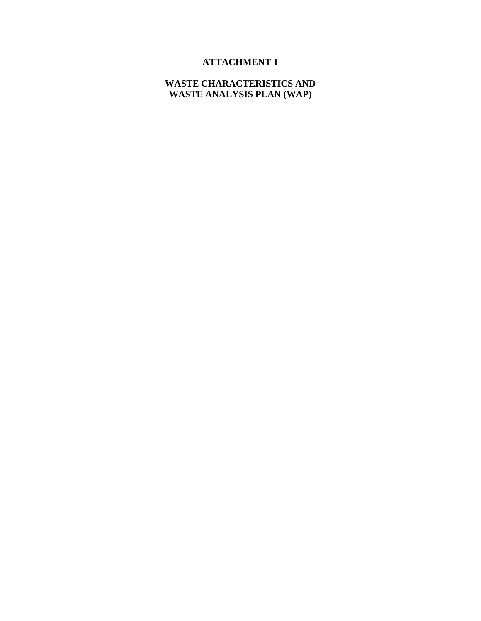# **ATTACHMENT 1**

# **WASTE CHARACTERISTICS AND WASTE ANALYSIS PLAN (WAP)**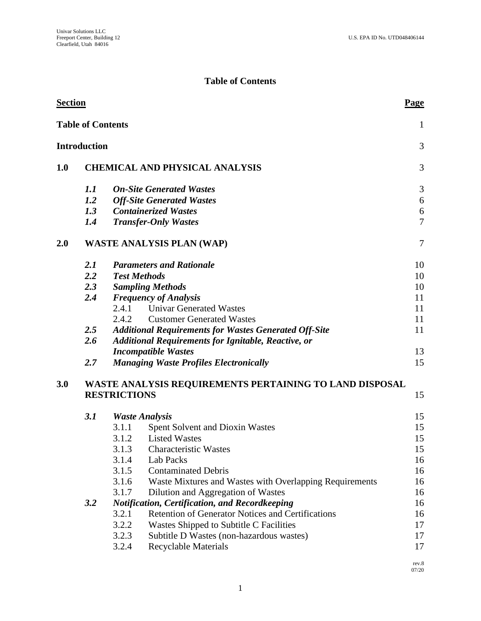# **Table of Contents**

| <b>Section</b> |                                                                |                                       |                                                              | <b>Page</b>    |
|----------------|----------------------------------------------------------------|---------------------------------------|--------------------------------------------------------------|----------------|
|                | <b>Table of Contents</b>                                       |                                       |                                                              | $\mathbf{1}$   |
|                | <b>Introduction</b>                                            |                                       |                                                              | 3              |
| 1.0            |                                                                | <b>CHEMICAL AND PHYSICAL ANALYSIS</b> |                                                              | 3              |
|                | 1.1                                                            |                                       | <b>On-Site Generated Wastes</b>                              | 3              |
|                | 1.2                                                            |                                       | <b>Off-Site Generated Wastes</b>                             | 6              |
|                | 1.3                                                            |                                       | <b>Containerized Wastes</b>                                  | 6              |
|                | 1.4                                                            |                                       | <b>Transfer-Only Wastes</b>                                  | $\overline{7}$ |
| 2.0            | <b>WASTE ANALYSIS PLAN (WAP)</b>                               |                                       | $\overline{7}$                                               |                |
|                | 2.1                                                            |                                       | <b>Parameters and Rationale</b>                              | 10             |
|                | $2.2^{\circ}$                                                  | <b>Test Methods</b>                   |                                                              | 10             |
|                | 2.3                                                            |                                       | <b>Sampling Methods</b>                                      | 10             |
|                | 2.4                                                            |                                       | <b>Frequency of Analysis</b>                                 | 11             |
|                |                                                                | 2.4.1                                 | <b>Univar Generated Wastes</b>                               | 11             |
|                |                                                                | 2.4.2                                 | <b>Customer Generated Wastes</b>                             | 11             |
|                | 2.5                                                            |                                       | <b>Additional Requirements for Wastes Generated Off-Site</b> | 11             |
|                | 2.6                                                            |                                       | <b>Additional Requirements for Ignitable, Reactive, or</b>   |                |
|                |                                                                |                                       | <b>Incompatible Wastes</b>                                   | 13             |
|                | 2.7                                                            |                                       | <b>Managing Waste Profiles Electronically</b>                | 15             |
| 3.0            | <b>WASTE ANALYSIS REQUIREMENTS PERTAINING TO LAND DISPOSAL</b> |                                       |                                                              |                |
|                |                                                                | <b>RESTRICTIONS</b>                   |                                                              | 15             |
|                | 3.1                                                            |                                       | <b>Waste Analysis</b>                                        | 15             |
|                |                                                                | 3.1.1                                 | <b>Spent Solvent and Dioxin Wastes</b>                       | 15             |
|                |                                                                | 3.1.2                                 | <b>Listed Wastes</b>                                         | 15             |
|                |                                                                |                                       | 3.1.3 Characteristic Wastes                                  | 15             |
|                |                                                                | 3.1.4                                 | Lab Packs                                                    | 16             |
|                |                                                                | 3.1.5                                 | <b>Contaminated Debris</b>                                   | 16             |
|                |                                                                | 3.1.6                                 | Waste Mixtures and Wastes with Overlapping Requirements      | 16             |
|                |                                                                | 3.1.7                                 | Dilution and Aggregation of Wastes                           | 16             |
|                | 3.2                                                            |                                       | <b>Notification, Certification, and Recordkeeping</b>        | 16             |
|                |                                                                | 3.2.1                                 | Retention of Generator Notices and Certifications            | 16             |
|                |                                                                | 3.2.2                                 | Wastes Shipped to Subtitle C Facilities                      | 17             |
|                |                                                                | 3.2.3<br>3.2.4                        | Subtitle D Wastes (non-hazardous wastes)                     | 17<br>17       |
|                |                                                                |                                       | <b>Recyclable Materials</b>                                  |                |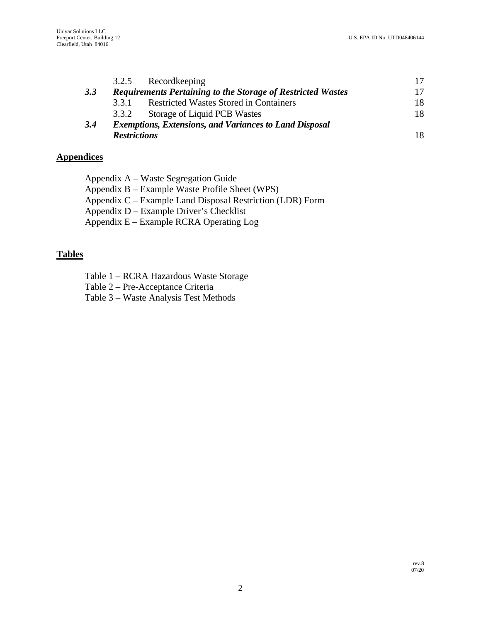|     |                                                                    | 3.2.5 Recordkeeping                           | 17 |
|-----|--------------------------------------------------------------------|-----------------------------------------------|----|
| 3.3 | <b>Requirements Pertaining to the Storage of Restricted Wastes</b> |                                               | 17 |
|     | 3.3.1                                                              | <b>Restricted Wastes Stored in Containers</b> | 18 |
|     | 3.3.2                                                              | Storage of Liquid PCB Wastes                  | 18 |
| 3.4 | <b>Exemptions, Extensions, and Variances to Land Disposal</b>      |                                               |    |
|     | <b>Restrictions</b>                                                |                                               | 18 |
|     |                                                                    |                                               |    |

# **Appendices**

| Appendix C – Example Land Disposal Restriction (LDR) Form |
|-----------------------------------------------------------|
|                                                           |
|                                                           |
|                                                           |

# **Tables**

Table 1 – RCRA Hazardous Waste Storage

Table 2 – Pre-Acceptance Criteria

Table 3 – Waste Analysis Test Methods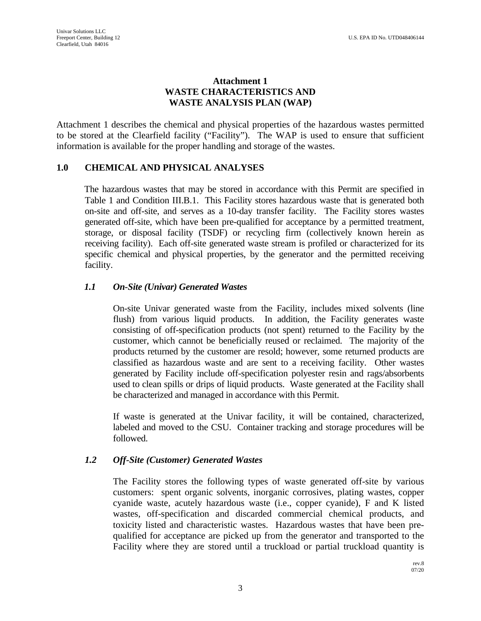# **Attachment 1 WASTE CHARACTERISTICS AND WASTE ANALYSIS PLAN (WAP)**

Attachment 1 describes the chemical and physical properties of the hazardous wastes permitted to be stored at the Clearfield facility ("Facility"). The WAP is used to ensure that sufficient information is available for the proper handling and storage of the wastes.

## **1.0 CHEMICAL AND PHYSICAL ANALYSES**

The hazardous wastes that may be stored in accordance with this Permit are specified in Table 1 and Condition III.B.1. This Facility stores hazardous waste that is generated both on-site and off-site, and serves as a 10-day transfer facility. The Facility stores wastes generated off-site, which have been pre-qualified for acceptance by a permitted treatment, storage, or disposal facility (TSDF) or recycling firm (collectively known herein as receiving facility). Each off-site generated waste stream is profiled or characterized for its specific chemical and physical properties, by the generator and the permitted receiving facility.

## *1.1 On-Site (Univar) Generated Wastes*

On-site Univar generated waste from the Facility, includes mixed solvents (line flush) from various liquid products. In addition, the Facility generates waste consisting of off-specification products (not spent) returned to the Facility by the customer, which cannot be beneficially reused or reclaimed. The majority of the products returned by the customer are resold; however, some returned products are classified as hazardous waste and are sent to a receiving facility. Other wastes generated by Facility include off-specification polyester resin and rags/absorbents used to clean spills or drips of liquid products. Waste generated at the Facility shall be characterized and managed in accordance with this Permit.

If waste is generated at the Univar facility, it will be contained, characterized, labeled and moved to the CSU. Container tracking and storage procedures will be followed.

# *1.2 Off-Site (Customer) Generated Wastes*

The Facility stores the following types of waste generated off-site by various customers: spent organic solvents, inorganic corrosives, plating wastes, copper cyanide waste, acutely hazardous waste (i.e., copper cyanide), F and K listed wastes, off-specification and discarded commercial chemical products, and toxicity listed and characteristic wastes. Hazardous wastes that have been prequalified for acceptance are picked up from the generator and transported to the Facility where they are stored until a truckload or partial truckload quantity is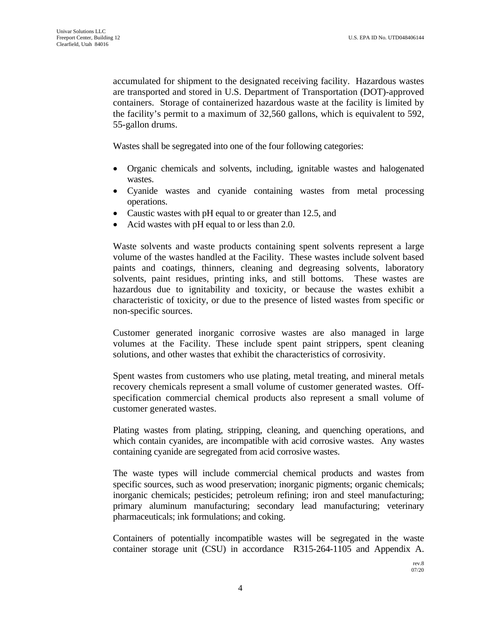accumulated for shipment to the designated receiving facility. Hazardous wastes are transported and stored in U.S. Department of Transportation (DOT)-approved containers. Storage of containerized hazardous waste at the facility is limited by the facility's permit to a maximum of 32,560 gallons, which is equivalent to 592, 55-gallon drums.

Wastes shall be segregated into one of the four following categories:

- Organic chemicals and solvents, including, ignitable wastes and halogenated wastes.
- Cyanide wastes and cyanide containing wastes from metal processing operations.
- Caustic wastes with pH equal to or greater than 12.5, and
- Acid wastes with pH equal to or less than 2.0.

Waste solvents and waste products containing spent solvents represent a large volume of the wastes handled at the Facility. These wastes include solvent based paints and coatings, thinners, cleaning and degreasing solvents, laboratory solvents, paint residues, printing inks, and still bottoms. These wastes are hazardous due to ignitability and toxicity, or because the wastes exhibit a characteristic of toxicity, or due to the presence of listed wastes from specific or non-specific sources.

Customer generated inorganic corrosive wastes are also managed in large volumes at the Facility. These include spent paint strippers, spent cleaning solutions, and other wastes that exhibit the characteristics of corrosivity.

Spent wastes from customers who use plating, metal treating, and mineral metals recovery chemicals represent a small volume of customer generated wastes. Offspecification commercial chemical products also represent a small volume of customer generated wastes.

Plating wastes from plating, stripping, cleaning, and quenching operations, and which contain cyanides, are incompatible with acid corrosive wastes. Any wastes containing cyanide are segregated from acid corrosive wastes.

The waste types will include commercial chemical products and wastes from specific sources, such as wood preservation; inorganic pigments; organic chemicals; inorganic chemicals; pesticides; petroleum refining; iron and steel manufacturing; primary aluminum manufacturing; secondary lead manufacturing; veterinary pharmaceuticals; ink formulations; and coking.

Containers of potentially incompatible wastes will be segregated in the waste container storage unit (CSU) in accordance R315-264-1105 and Appendix A.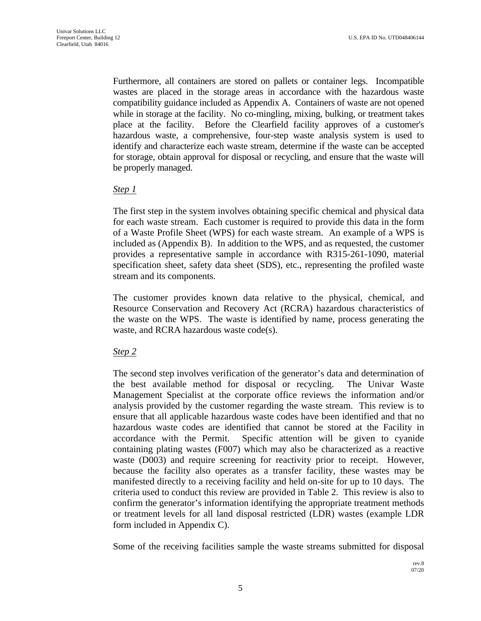Furthermore, all containers are stored on pallets or container legs. Incompatible wastes are placed in the storage areas in accordance with the hazardous waste compatibility guidance included as Appendix A. Containers of waste are not opened while in storage at the facility. No co-mingling, mixing, bulking, or treatment takes place at the facility. Before the Clearfield facility approves of a customer's hazardous waste, a comprehensive, four-step waste analysis system is used to identify and characterize each waste stream, determine if the waste can be accepted for storage, obtain approval for disposal or recycling, and ensure that the waste will be properly managed.

#### *Step 1*

The first step in the system involves obtaining specific chemical and physical data for each waste stream. Each customer is required to provide this data in the form of a Waste Profile Sheet (WPS) for each waste stream. An example of a WPS is included as (Appendix B). In addition to the WPS, and as requested, the customer provides a representative sample in accordance with R315-261-1090, material specification sheet, safety data sheet (SDS), etc., representing the profiled waste stream and its components.

The customer provides known data relative to the physical, chemical, and Resource Conservation and Recovery Act (RCRA) hazardous characteristics of the waste on the WPS. The waste is identified by name, process generating the waste, and RCRA hazardous waste code(s).

## *Step 2*

The second step involves verification of the generator's data and determination of the best available method for disposal or recycling. The Univar Waste Management Specialist at the corporate office reviews the information and/or analysis provided by the customer regarding the waste stream. This review is to ensure that all applicable hazardous waste codes have been identified and that no hazardous waste codes are identified that cannot be stored at the Facility in accordance with the Permit. Specific attention will be given to cyanide containing plating wastes (F007) which may also be characterized as a reactive waste (D003) and require screening for reactivity prior to receipt. However, because the facility also operates as a transfer facility, these wastes may be manifested directly to a receiving facility and held on-site for up to 10 days. The criteria used to conduct this review are provided in Table 2. This review is also to confirm the generator's information identifying the appropriate treatment methods or treatment levels for all land disposal restricted (LDR) wastes (example LDR form included in Appendix C).

Some of the receiving facilities sample the waste streams submitted for disposal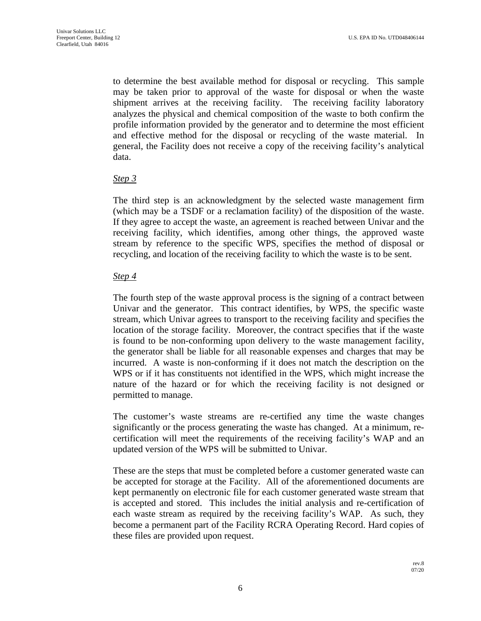to determine the best available method for disposal or recycling. This sample may be taken prior to approval of the waste for disposal or when the waste shipment arrives at the receiving facility. The receiving facility laboratory analyzes the physical and chemical composition of the waste to both confirm the profile information provided by the generator and to determine the most efficient and effective method for the disposal or recycling of the waste material. In general, the Facility does not receive a copy of the receiving facility's analytical data.

## *Step 3*

The third step is an acknowledgment by the selected waste management firm (which may be a TSDF or a reclamation facility) of the disposition of the waste. If they agree to accept the waste, an agreement is reached between Univar and the receiving facility, which identifies, among other things, the approved waste stream by reference to the specific WPS, specifies the method of disposal or recycling, and location of the receiving facility to which the waste is to be sent.

## *Step 4*

The fourth step of the waste approval process is the signing of a contract between Univar and the generator. This contract identifies, by WPS, the specific waste stream, which Univar agrees to transport to the receiving facility and specifies the location of the storage facility. Moreover, the contract specifies that if the waste is found to be non-conforming upon delivery to the waste management facility, the generator shall be liable for all reasonable expenses and charges that may be incurred. A waste is non-conforming if it does not match the description on the WPS or if it has constituents not identified in the WPS, which might increase the nature of the hazard or for which the receiving facility is not designed or permitted to manage.

The customer's waste streams are re-certified any time the waste changes significantly or the process generating the waste has changed. At a minimum, recertification will meet the requirements of the receiving facility's WAP and an updated version of the WPS will be submitted to Univar.

These are the steps that must be completed before a customer generated waste can be accepted for storage at the Facility. All of the aforementioned documents are kept permanently on electronic file for each customer generated waste stream that is accepted and stored. This includes the initial analysis and re-certification of each waste stream as required by the receiving facility's WAP. As such, they become a permanent part of the Facility RCRA Operating Record. Hard copies of these files are provided upon request.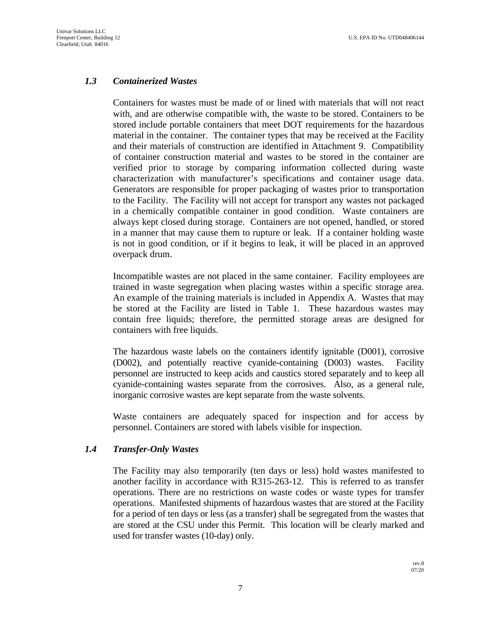### *1.3 Containerized Wastes*

Containers for wastes must be made of or lined with materials that will not react with, and are otherwise compatible with, the waste to be stored. Containers to be stored include portable containers that meet DOT requirements for the hazardous material in the container. The container types that may be received at the Facility and their materials of construction are identified in Attachment 9. Compatibility of container construction material and wastes to be stored in the container are verified prior to storage by comparing information collected during waste characterization with manufacturer's specifications and container usage data. Generators are responsible for proper packaging of wastes prior to transportation to the Facility. The Facility will not accept for transport any wastes not packaged in a chemically compatible container in good condition. Waste containers are always kept closed during storage. Containers are not opened, handled, or stored in a manner that may cause them to rupture or leak. If a container holding waste is not in good condition, or if it begins to leak, it will be placed in an approved overpack drum.

Incompatible wastes are not placed in the same container. Facility employees are trained in waste segregation when placing wastes within a specific storage area. An example of the training materials is included in Appendix A. Wastes that may be stored at the Facility are listed in Table 1. These hazardous wastes may contain free liquids; therefore, the permitted storage areas are designed for containers with free liquids.

The hazardous waste labels on the containers identify ignitable (D001), corrosive (D002), and potentially reactive cyanide-containing (D003) wastes. Facility personnel are instructed to keep acids and caustics stored separately and to keep all cyanide-containing wastes separate from the corrosives. Also, as a general rule, inorganic corrosive wastes are kept separate from the waste solvents.

Waste containers are adequately spaced for inspection and for access by personnel. Containers are stored with labels visible for inspection.

#### *1.4 Transfer-Only Wastes*

The Facility may also temporarily (ten days or less) hold wastes manifested to another facility in accordance with R315-263-12. This is referred to as transfer operations. There are no restrictions on waste codes or waste types for transfer operations. Manifested shipments of hazardous wastes that are stored at the Facility for a period of ten days or less (as a transfer) shall be segregated from the wastes that are stored at the CSU under this Permit. This location will be clearly marked and used for transfer wastes (10-day) only.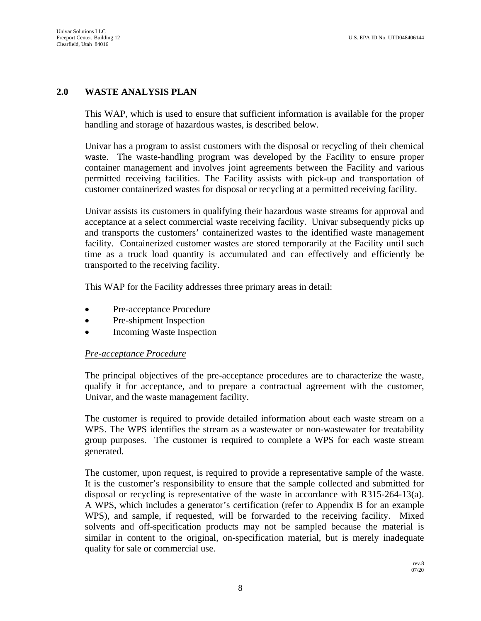# **2.0 WASTE ANALYSIS PLAN**

This WAP, which is used to ensure that sufficient information is available for the proper handling and storage of hazardous wastes, is described below.

Univar has a program to assist customers with the disposal or recycling of their chemical waste. The waste-handling program was developed by the Facility to ensure proper container management and involves joint agreements between the Facility and various permitted receiving facilities. The Facility assists with pick-up and transportation of customer containerized wastes for disposal or recycling at a permitted receiving facility.

Univar assists its customers in qualifying their hazardous waste streams for approval and acceptance at a select commercial waste receiving facility. Univar subsequently picks up and transports the customers' containerized wastes to the identified waste management facility. Containerized customer wastes are stored temporarily at the Facility until such time as a truck load quantity is accumulated and can effectively and efficiently be transported to the receiving facility.

This WAP for the Facility addresses three primary areas in detail:

- Pre-acceptance Procedure
- Pre-shipment Inspection
- Incoming Waste Inspection

## *Pre-acceptance Procedure*

The principal objectives of the pre-acceptance procedures are to characterize the waste, qualify it for acceptance, and to prepare a contractual agreement with the customer, Univar, and the waste management facility.

The customer is required to provide detailed information about each waste stream on a WPS. The WPS identifies the stream as a wastewater or non-wastewater for treatability group purposes. The customer is required to complete a WPS for each waste stream generated.

The customer, upon request, is required to provide a representative sample of the waste. It is the customer's responsibility to ensure that the sample collected and submitted for disposal or recycling is representative of the waste in accordance with R315-264-13(a). A WPS, which includes a generator's certification (refer to Appendix B for an example WPS), and sample, if requested, will be forwarded to the receiving facility. Mixed solvents and off-specification products may not be sampled because the material is similar in content to the original, on-specification material, but is merely inadequate quality for sale or commercial use.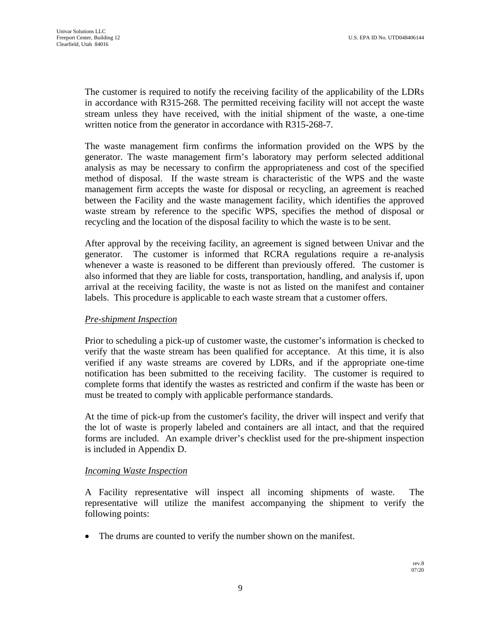The customer is required to notify the receiving facility of the applicability of the LDRs in accordance with R315-268. The permitted receiving facility will not accept the waste stream unless they have received, with the initial shipment of the waste, a one-time written notice from the generator in accordance with R315-268-7.

The waste management firm confirms the information provided on the WPS by the generator. The waste management firm's laboratory may perform selected additional analysis as may be necessary to confirm the appropriateness and cost of the specified method of disposal. If the waste stream is characteristic of the WPS and the waste management firm accepts the waste for disposal or recycling, an agreement is reached between the Facility and the waste management facility, which identifies the approved waste stream by reference to the specific WPS, specifies the method of disposal or recycling and the location of the disposal facility to which the waste is to be sent.

After approval by the receiving facility, an agreement is signed between Univar and the generator. The customer is informed that RCRA regulations require a re-analysis whenever a waste is reasoned to be different than previously offered. The customer is also informed that they are liable for costs, transportation, handling, and analysis if, upon arrival at the receiving facility, the waste is not as listed on the manifest and container labels. This procedure is applicable to each waste stream that a customer offers.

## *Pre-shipment Inspection*

Prior to scheduling a pick-up of customer waste, the customer's information is checked to verify that the waste stream has been qualified for acceptance. At this time, it is also verified if any waste streams are covered by LDRs, and if the appropriate one-time notification has been submitted to the receiving facility. The customer is required to complete forms that identify the wastes as restricted and confirm if the waste has been or must be treated to comply with applicable performance standards.

At the time of pick-up from the customer's facility, the driver will inspect and verify that the lot of waste is properly labeled and containers are all intact, and that the required forms are included. An example driver's checklist used for the pre-shipment inspection is included in Appendix D.

## *Incoming Waste Inspection*

A Facility representative will inspect all incoming shipments of waste. The representative will utilize the manifest accompanying the shipment to verify the following points:

• The drums are counted to verify the number shown on the manifest.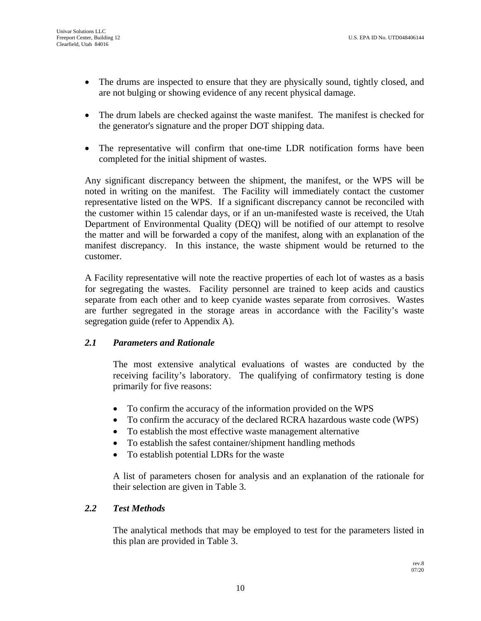- The drums are inspected to ensure that they are physically sound, tightly closed, and are not bulging or showing evidence of any recent physical damage.
- The drum labels are checked against the waste manifest. The manifest is checked for the generator's signature and the proper DOT shipping data.
- The representative will confirm that one-time LDR notification forms have been completed for the initial shipment of wastes.

Any significant discrepancy between the shipment, the manifest, or the WPS will be noted in writing on the manifest. The Facility will immediately contact the customer representative listed on the WPS. If a significant discrepancy cannot be reconciled with the customer within 15 calendar days, or if an un-manifested waste is received, the Utah Department of Environmental Quality (DEQ) will be notified of our attempt to resolve the matter and will be forwarded a copy of the manifest, along with an explanation of the manifest discrepancy. In this instance, the waste shipment would be returned to the customer.

A Facility representative will note the reactive properties of each lot of wastes as a basis for segregating the wastes. Facility personnel are trained to keep acids and caustics separate from each other and to keep cyanide wastes separate from corrosives. Wastes are further segregated in the storage areas in accordance with the Facility's waste segregation guide (refer to Appendix A).

## *2.1 Parameters and Rationale*

The most extensive analytical evaluations of wastes are conducted by the receiving facility's laboratory. The qualifying of confirmatory testing is done primarily for five reasons:

- To confirm the accuracy of the information provided on the WPS
- To confirm the accuracy of the declared RCRA hazardous waste code (WPS)
- To establish the most effective waste management alternative
- To establish the safest container/shipment handling methods
- To establish potential LDRs for the waste

A list of parameters chosen for analysis and an explanation of the rationale for their selection are given in Table 3.

## *2.2 Test Methods*

The analytical methods that may be employed to test for the parameters listed in this plan are provided in Table 3.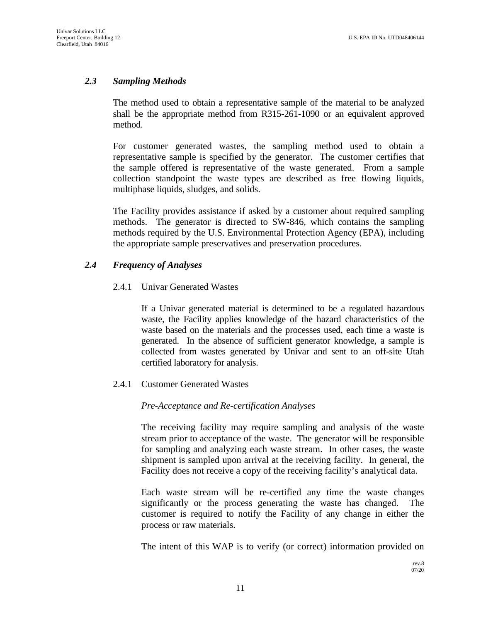### *2.3 Sampling Methods*

The method used to obtain a representative sample of the material to be analyzed shall be the appropriate method from R315-261-1090 or an equivalent approved method.

For customer generated wastes, the sampling method used to obtain a representative sample is specified by the generator. The customer certifies that the sample offered is representative of the waste generated. From a sample collection standpoint the waste types are described as free flowing liquids, multiphase liquids, sludges, and solids.

The Facility provides assistance if asked by a customer about required sampling methods. The generator is directed to SW-846, which contains the sampling methods required by the U.S. Environmental Protection Agency (EPA), including the appropriate sample preservatives and preservation procedures.

## *2.4 Frequency of Analyses*

#### 2.4.1 Univar Generated Wastes

If a Univar generated material is determined to be a regulated hazardous waste, the Facility applies knowledge of the hazard characteristics of the waste based on the materials and the processes used, each time a waste is generated. In the absence of sufficient generator knowledge, a sample is collected from wastes generated by Univar and sent to an off-site Utah certified laboratory for analysis.

#### 2.4.1 Customer Generated Wastes

#### *Pre-Acceptance and Re-certification Analyses*

The receiving facility may require sampling and analysis of the waste stream prior to acceptance of the waste. The generator will be responsible for sampling and analyzing each waste stream. In other cases, the waste shipment is sampled upon arrival at the receiving facility. In general, the Facility does not receive a copy of the receiving facility's analytical data.

Each waste stream will be re-certified any time the waste changes significantly or the process generating the waste has changed. The customer is required to notify the Facility of any change in either the process or raw materials.

The intent of this WAP is to verify (or correct) information provided on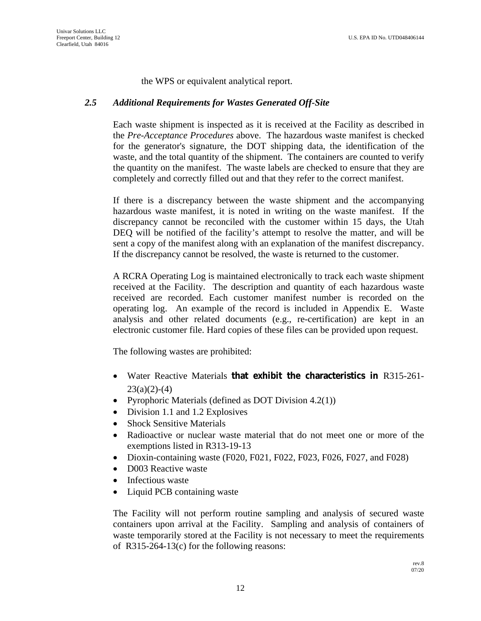the WPS or equivalent analytical report.

#### *2.5 Additional Requirements for Wastes Generated Off-Site*

Each waste shipment is inspected as it is received at the Facility as described in the *Pre-Acceptance Procedures* above. The hazardous waste manifest is checked for the generator's signature, the DOT shipping data, the identification of the waste, and the total quantity of the shipment. The containers are counted to verify the quantity on the manifest. The waste labels are checked to ensure that they are completely and correctly filled out and that they refer to the correct manifest.

If there is a discrepancy between the waste shipment and the accompanying hazardous waste manifest, it is noted in writing on the waste manifest. If the discrepancy cannot be reconciled with the customer within 15 days, the Utah DEQ will be notified of the facility's attempt to resolve the matter, and will be sent a copy of the manifest along with an explanation of the manifest discrepancy. If the discrepancy cannot be resolved, the waste is returned to the customer.

A RCRA Operating Log is maintained electronically to track each waste shipment received at the Facility. The description and quantity of each hazardous waste received are recorded. Each customer manifest number is recorded on the operating log. An example of the record is included in Appendix E. Waste analysis and other related documents (e.g., re-certification) are kept in an electronic customer file. Hard copies of these files can be provided upon request.

The following wastes are prohibited:

- Water Reactive Materials **that exhibit the characteristics in** R315-261-  $23(a)(2)-(4)$
- Pyrophoric Materials (defined as DOT Division 4.2(1))
- Division 1.1 and 1.2 Explosives
- Shock Sensitive Materials
- Radioactive or nuclear waste material that do not meet one or more of the exemptions listed in R313-19-13
- Dioxin-containing waste (F020, F021, F022, F023, F026, F027, and F028)
- D003 Reactive waste
- Infectious waste
- Liquid PCB containing waste

The Facility will not perform routine sampling and analysis of secured waste containers upon arrival at the Facility. Sampling and analysis of containers of waste temporarily stored at the Facility is not necessary to meet the requirements of R315-264-13(c) for the following reasons: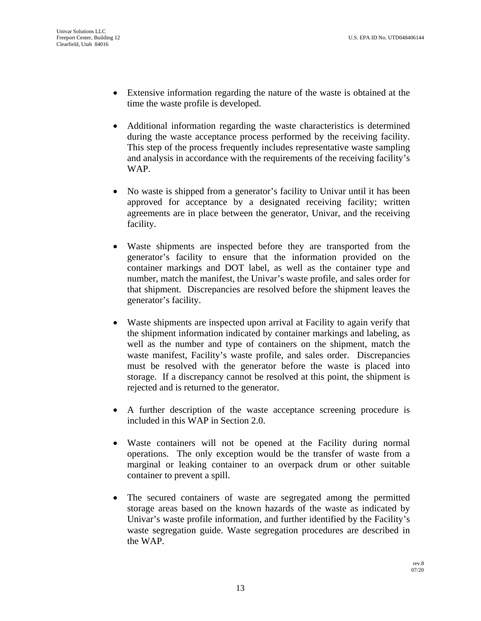- Extensive information regarding the nature of the waste is obtained at the time the waste profile is developed.
- Additional information regarding the waste characteristics is determined during the waste acceptance process performed by the receiving facility. This step of the process frequently includes representative waste sampling and analysis in accordance with the requirements of the receiving facility's WAP.
- No waste is shipped from a generator's facility to Univar until it has been approved for acceptance by a designated receiving facility; written agreements are in place between the generator, Univar, and the receiving facility.
- Waste shipments are inspected before they are transported from the generator's facility to ensure that the information provided on the container markings and DOT label, as well as the container type and number, match the manifest, the Univar's waste profile, and sales order for that shipment. Discrepancies are resolved before the shipment leaves the generator's facility.
- Waste shipments are inspected upon arrival at Facility to again verify that the shipment information indicated by container markings and labeling, as well as the number and type of containers on the shipment, match the waste manifest, Facility's waste profile, and sales order. Discrepancies must be resolved with the generator before the waste is placed into storage. If a discrepancy cannot be resolved at this point, the shipment is rejected and is returned to the generator.
- A further description of the waste acceptance screening procedure is included in this WAP in Section 2.0.
- Waste containers will not be opened at the Facility during normal operations. The only exception would be the transfer of waste from a marginal or leaking container to an overpack drum or other suitable container to prevent a spill.
- The secured containers of waste are segregated among the permitted storage areas based on the known hazards of the waste as indicated by Univar's waste profile information, and further identified by the Facility's waste segregation guide. Waste segregation procedures are described in the WAP.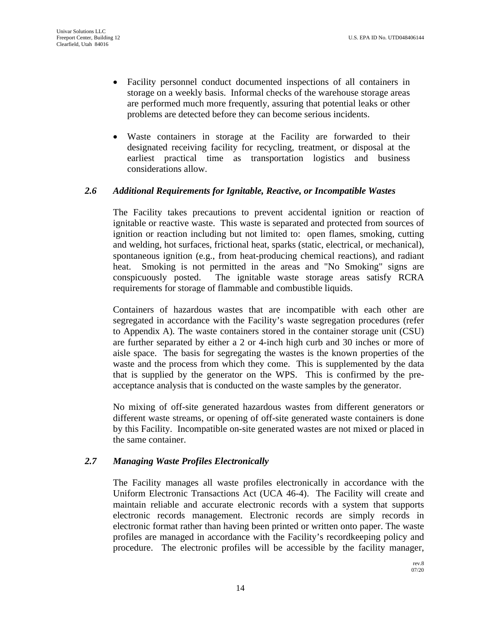- Facility personnel conduct documented inspections of all containers in storage on a weekly basis. Informal checks of the warehouse storage areas are performed much more frequently, assuring that potential leaks or other problems are detected before they can become serious incidents.
- Waste containers in storage at the Facility are forwarded to their designated receiving facility for recycling, treatment, or disposal at the earliest practical time as transportation logistics and business considerations allow.

#### *2.6 Additional Requirements for Ignitable, Reactive, or Incompatible Wastes*

The Facility takes precautions to prevent accidental ignition or reaction of ignitable or reactive waste. This waste is separated and protected from sources of ignition or reaction including but not limited to: open flames, smoking, cutting and welding, hot surfaces, frictional heat, sparks (static, electrical, or mechanical), spontaneous ignition (e.g., from heat-producing chemical reactions), and radiant heat. Smoking is not permitted in the areas and "No Smoking" signs are conspicuously posted. The ignitable waste storage areas satisfy RCRA requirements for storage of flammable and combustible liquids.

Containers of hazardous wastes that are incompatible with each other are segregated in accordance with the Facility's waste segregation procedures (refer to Appendix A). The waste containers stored in the container storage unit (CSU) are further separated by either a 2 or 4-inch high curb and 30 inches or more of aisle space. The basis for segregating the wastes is the known properties of the waste and the process from which they come. This is supplemented by the data that is supplied by the generator on the WPS. This is confirmed by the preacceptance analysis that is conducted on the waste samples by the generator.

No mixing of off-site generated hazardous wastes from different generators or different waste streams, or opening of off-site generated waste containers is done by this Facility. Incompatible on-site generated wastes are not mixed or placed in the same container.

## *2.7 Managing Waste Profiles Electronically*

The Facility manages all waste profiles electronically in accordance with the Uniform Electronic Transactions Act (UCA 46-4). The Facility will create and maintain reliable and accurate electronic records with a system that supports electronic records management. Electronic records are simply records in electronic format rather than having been printed or written onto paper. The waste profiles are managed in accordance with the Facility's recordkeeping policy and procedure. The electronic profiles will be accessible by the facility manager,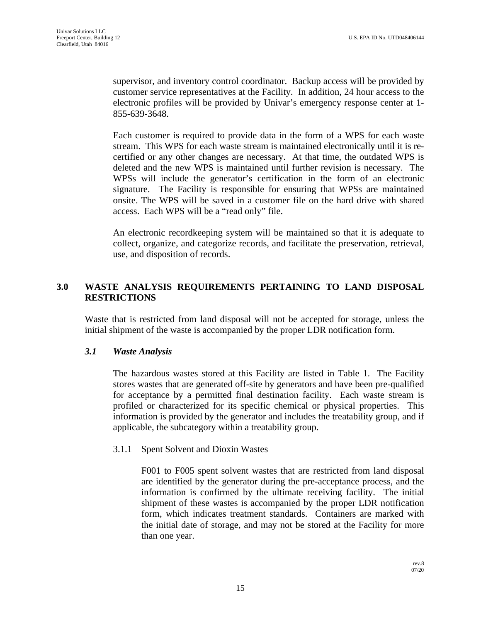supervisor, and inventory control coordinator. Backup access will be provided by customer service representatives at the Facility. In addition, 24 hour access to the electronic profiles will be provided by Univar's emergency response center at 1- 855-639-3648.

Each customer is required to provide data in the form of a WPS for each waste stream. This WPS for each waste stream is maintained electronically until it is recertified or any other changes are necessary. At that time, the outdated WPS is deleted and the new WPS is maintained until further revision is necessary. The WPSs will include the generator's certification in the form of an electronic signature. The Facility is responsible for ensuring that WPSs are maintained onsite. The WPS will be saved in a customer file on the hard drive with shared access. Each WPS will be a "read only" file.

An electronic recordkeeping system will be maintained so that it is adequate to collect, organize, and categorize records, and facilitate the preservation, retrieval, use, and disposition of records.

# **3.0 WASTE ANALYSIS REQUIREMENTS PERTAINING TO LAND DISPOSAL RESTRICTIONS**

Waste that is restricted from land disposal will not be accepted for storage, unless the initial shipment of the waste is accompanied by the proper LDR notification form.

## *3.1 Waste Analysis*

The hazardous wastes stored at this Facility are listed in Table 1. The Facility stores wastes that are generated off-site by generators and have been pre-qualified for acceptance by a permitted final destination facility. Each waste stream is profiled or characterized for its specific chemical or physical properties. This information is provided by the generator and includes the treatability group, and if applicable, the subcategory within a treatability group.

## 3.1.1 Spent Solvent and Dioxin Wastes

F001 to F005 spent solvent wastes that are restricted from land disposal are identified by the generator during the pre-acceptance process, and the information is confirmed by the ultimate receiving facility. The initial shipment of these wastes is accompanied by the proper LDR notification form, which indicates treatment standards. Containers are marked with the initial date of storage, and may not be stored at the Facility for more than one year.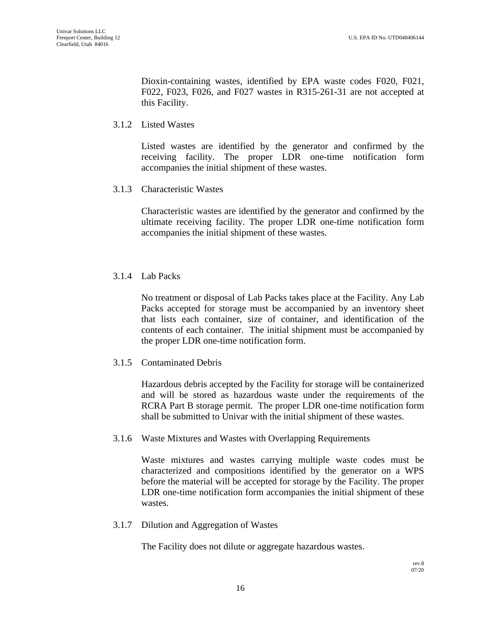Dioxin-containing wastes, identified by EPA waste codes F020, F021, F022, F023, F026, and F027 wastes in R315-261-31 are not accepted at this Facility.

3.1.2 Listed Wastes

Listed wastes are identified by the generator and confirmed by the receiving facility. The proper LDR one-time notification form accompanies the initial shipment of these wastes.

3.1.3 Characteristic Wastes

Characteristic wastes are identified by the generator and confirmed by the ultimate receiving facility. The proper LDR one-time notification form accompanies the initial shipment of these wastes.

3.1.4 Lab Packs

No treatment or disposal of Lab Packs takes place at the Facility. Any Lab Packs accepted for storage must be accompanied by an inventory sheet that lists each container, size of container, and identification of the contents of each container. The initial shipment must be accompanied by the proper LDR one-time notification form.

3.1.5 Contaminated Debris

Hazardous debris accepted by the Facility for storage will be containerized and will be stored as hazardous waste under the requirements of the RCRA Part B storage permit. The proper LDR one-time notification form shall be submitted to Univar with the initial shipment of these wastes.

3.1.6 Waste Mixtures and Wastes with Overlapping Requirements

Waste mixtures and wastes carrying multiple waste codes must be characterized and compositions identified by the generator on a WPS before the material will be accepted for storage by the Facility. The proper LDR one-time notification form accompanies the initial shipment of these wastes.

3.1.7 Dilution and Aggregation of Wastes

The Facility does not dilute or aggregate hazardous wastes.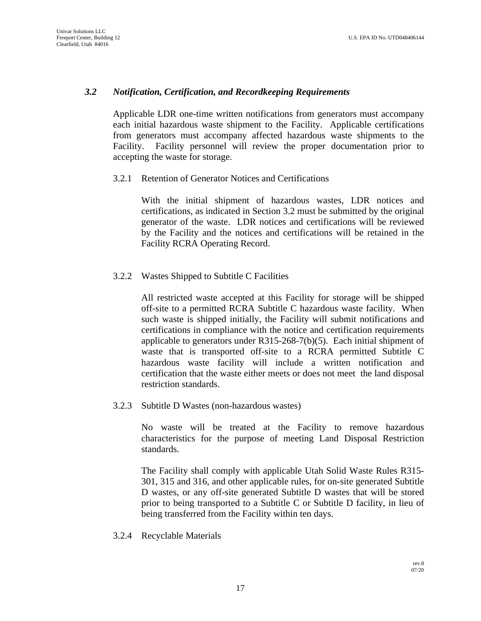### *3.2 Notification, Certification, and Recordkeeping Requirements*

Applicable LDR one-time written notifications from generators must accompany each initial hazardous waste shipment to the Facility. Applicable certifications from generators must accompany affected hazardous waste shipments to the Facility. Facility personnel will review the proper documentation prior to accepting the waste for storage.

3.2.1 Retention of Generator Notices and Certifications

With the initial shipment of hazardous wastes, LDR notices and certifications, as indicated in Section 3.2 must be submitted by the original generator of the waste. LDR notices and certifications will be reviewed by the Facility and the notices and certifications will be retained in the Facility RCRA Operating Record.

3.2.2 Wastes Shipped to Subtitle C Facilities

All restricted waste accepted at this Facility for storage will be shipped off-site to a permitted RCRA Subtitle C hazardous waste facility. When such waste is shipped initially, the Facility will submit notifications and certifications in compliance with the notice and certification requirements applicable to generators under R315-268-7(b)(5). Each initial shipment of waste that is transported off-site to a RCRA permitted Subtitle C hazardous waste facility will include a written notification and certification that the waste either meets or does not meet the land disposal restriction standards.

3.2.3 Subtitle D Wastes (non-hazardous wastes)

No waste will be treated at the Facility to remove hazardous characteristics for the purpose of meeting Land Disposal Restriction standards.

The Facility shall comply with applicable Utah Solid Waste Rules R315- 301, 315 and 316, and other applicable rules, for on-site generated Subtitle D wastes, or any off-site generated Subtitle D wastes that will be stored prior to being transported to a Subtitle C or Subtitle D facility, in lieu of being transferred from the Facility within ten days.

3.2.4 Recyclable Materials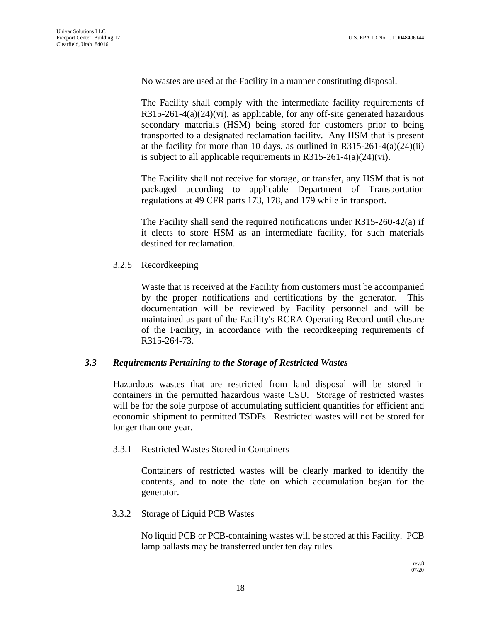No wastes are used at the Facility in a manner constituting disposal.

The Facility shall comply with the intermediate facility requirements of  $R315-261-4(a)(24)(vi)$ , as applicable, for any off-site generated hazardous secondary materials (HSM) being stored for customers prior to being transported to a designated reclamation facility. Any HSM that is present at the facility for more than 10 days, as outlined in R315-261-4(a)(24)(ii) is subject to all applicable requirements in R315-261-4(a)(24)(vi).

The Facility shall not receive for storage, or transfer, any HSM that is not packaged according to applicable Department of Transportation regulations at 49 CFR parts 173, 178, and 179 while in transport.

The Facility shall send the required notifications under R315-260-42(a) if it elects to store HSM as an intermediate facility, for such materials destined for reclamation.

3.2.5 Recordkeeping

Waste that is received at the Facility from customers must be accompanied by the proper notifications and certifications by the generator. This documentation will be reviewed by Facility personnel and will be maintained as part of the Facility's RCRA Operating Record until closure of the Facility, in accordance with the recordkeeping requirements of R315-264-73.

## *3.3 Requirements Pertaining to the Storage of Restricted Wastes*

Hazardous wastes that are restricted from land disposal will be stored in containers in the permitted hazardous waste CSU. Storage of restricted wastes will be for the sole purpose of accumulating sufficient quantities for efficient and economic shipment to permitted TSDFs. Restricted wastes will not be stored for longer than one year.

3.3.1 Restricted Wastes Stored in Containers

Containers of restricted wastes will be clearly marked to identify the contents, and to note the date on which accumulation began for the generator.

3.3.2 Storage of Liquid PCB Wastes

No liquid PCB or PCB-containing wastes will be stored at this Facility. PCB lamp ballasts may be transferred under ten day rules.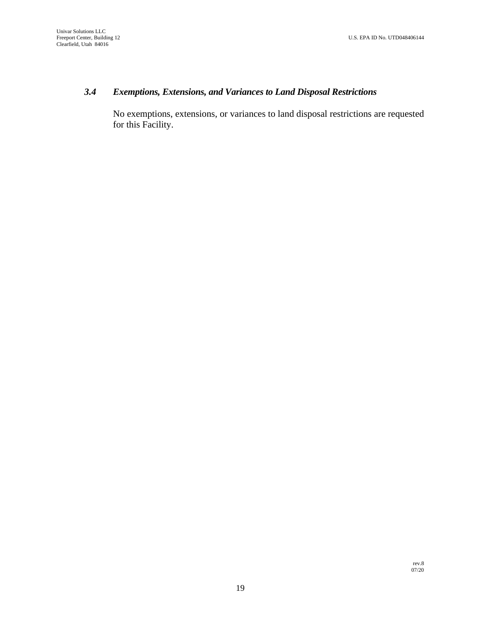# *3.4 Exemptions, Extensions, and Variances to Land Disposal Restrictions*

No exemptions, extensions, or variances to land disposal restrictions are requested for this Facility.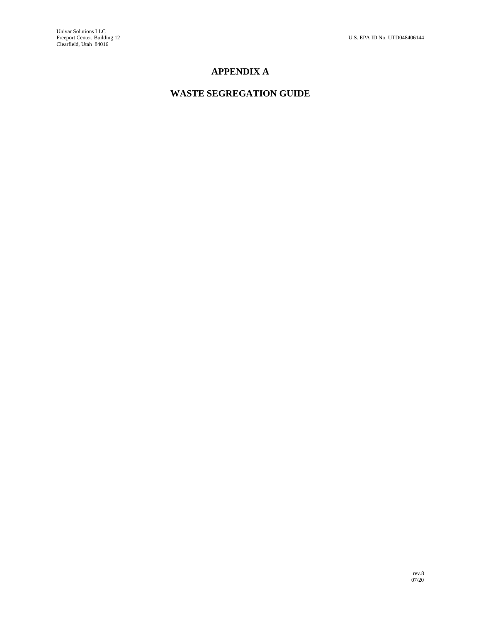# **APPENDIX A**

# **WASTE SEGREGATION GUIDE**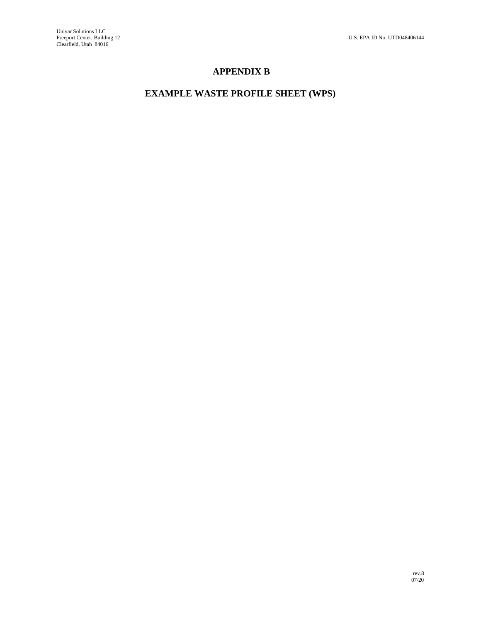# **APPENDIX B**

# **EXAMPLE WASTE PROFILE SHEET (WPS)**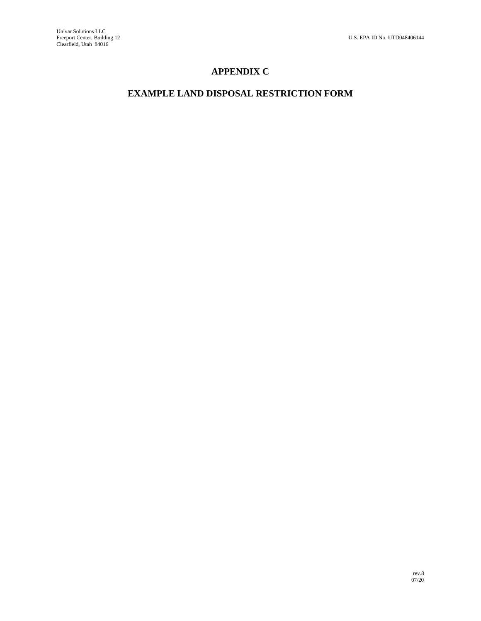# **APPENDIX C**

# **EXAMPLE LAND DISPOSAL RESTRICTION FORM**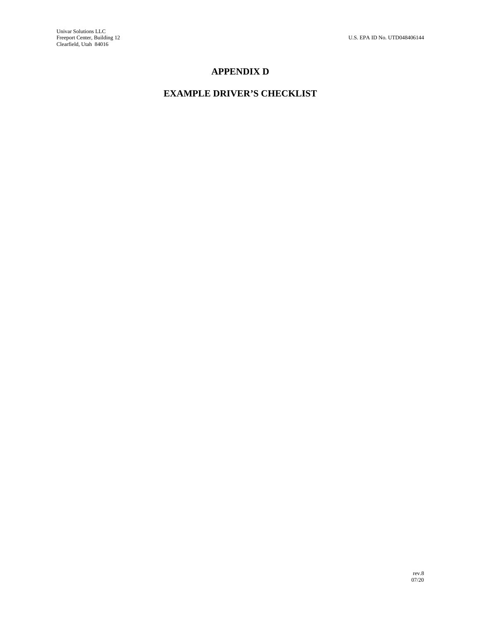# **APPENDIX D**

# **EXAMPLE DRIVER'S CHECKLIST**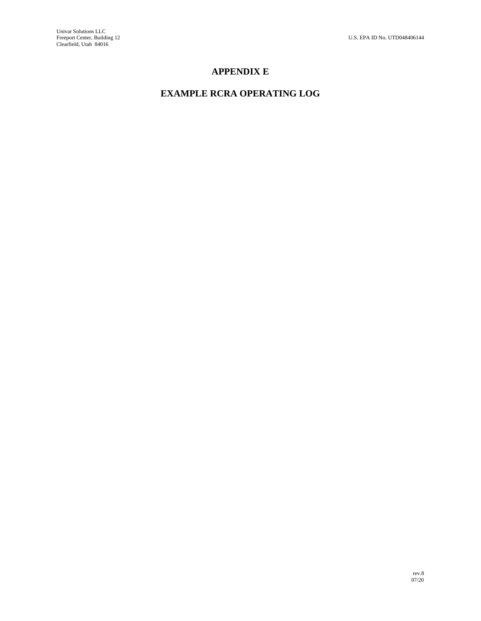# **APPENDIX E**

# **EXAMPLE RCRA OPERATING LOG**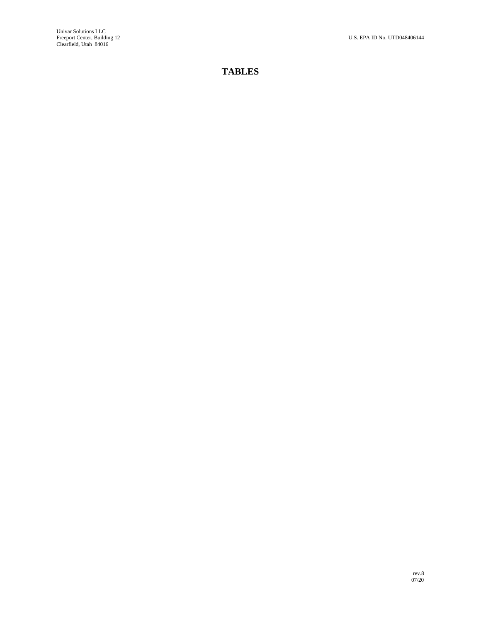# **TABLES**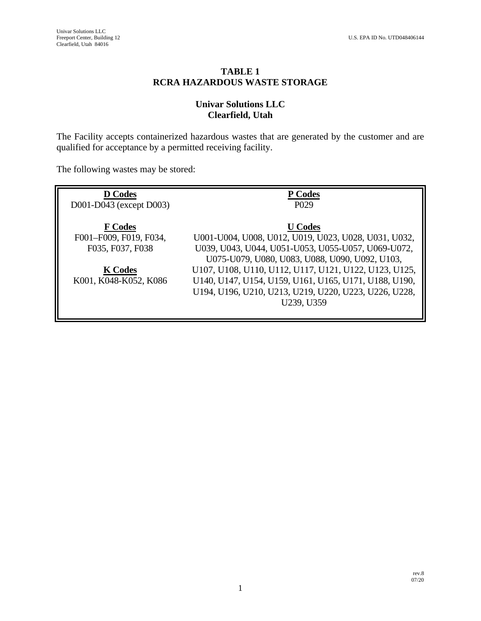## **TABLE 1 RCRA HAZARDOUS WASTE STORAGE**

## **Univar Solutions LLC Clearfield, Utah**

The Facility accepts containerized hazardous wastes that are generated by the customer and are qualified for acceptance by a permitted receiving facility.

The following wastes may be stored:

| <b>D</b> Codes          | P Codes                                               |
|-------------------------|-------------------------------------------------------|
| D001-D043 (except D003) | P <sub>029</sub>                                      |
|                         |                                                       |
| <b>F</b> Codes          | <b>U</b> Codes                                        |
| F001-F009, F019, F034,  | U001-U004, U008, U012, U019, U023, U028, U031, U032,  |
| F035, F037, F038        | U039, U043, U044, U051-U053, U055-U057, U069-U072,    |
|                         | U075-U079, U080, U083, U088, U090, U092, U103,        |
| <b>K</b> Codes          | U107, U108, U110, U112, U117, U121, U122, U123, U125, |
| K001, K048-K052, K086   | U140, U147, U154, U159, U161, U165, U171, U188, U190, |
|                         | U194, U196, U210, U213, U219, U220, U223, U226, U228, |
|                         | U239, U359                                            |
|                         |                                                       |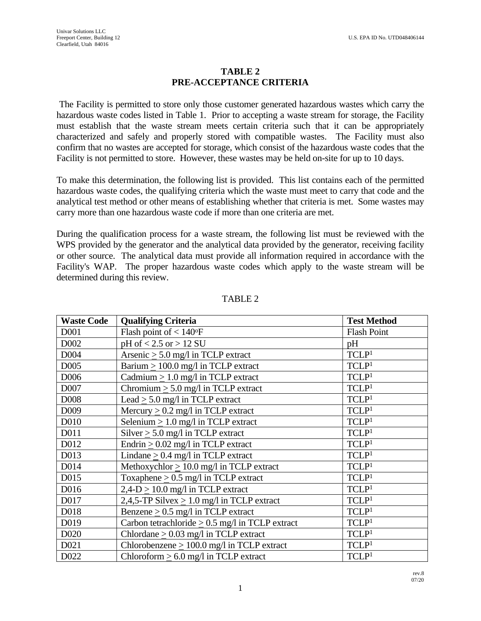## **TABLE 2 PRE-ACCEPTANCE CRITERIA**

The Facility is permitted to store only those customer generated hazardous wastes which carry the hazardous waste codes listed in Table 1. Prior to accepting a waste stream for storage, the Facility must establish that the waste stream meets certain criteria such that it can be appropriately characterized and safely and properly stored with compatible wastes. The Facility must also confirm that no wastes are accepted for storage, which consist of the hazardous waste codes that the Facility is not permitted to store. However, these wastes may be held on-site for up to 10 days.

To make this determination, the following list is provided. This list contains each of the permitted hazardous waste codes, the qualifying criteria which the waste must meet to carry that code and the analytical test method or other means of establishing whether that criteria is met. Some wastes may carry more than one hazardous waste code if more than one criteria are met.

During the qualification process for a waste stream, the following list must be reviewed with the WPS provided by the generator and the analytical data provided by the generator, receiving facility or other source. The analytical data must provide all information required in accordance with the Facility's WAP. The proper hazardous waste codes which apply to the waste stream will be determined during this review.

| <b>Waste Code</b> | <b>Qualifying Criteria</b>                           | <b>Test Method</b> |
|-------------------|------------------------------------------------------|--------------------|
| D001              | Flash point of $< 140^{\circ}$ F                     | <b>Flash Point</b> |
| D <sub>002</sub>  | pH of $< 2.5$ or $> 12$ SU                           | pH                 |
| D004              | Arsenic $\geq$ 5.0 mg/l in TCLP extract              | TCLP <sup>1</sup>  |
| D005              | Barium $> 100.0$ mg/l in TCLP extract                | TCLP <sup>1</sup>  |
| D006              | Cadmium $\geq 1.0$ mg/l in TCLP extract              | TCLP <sup>1</sup>  |
| D007              | Chromium $\geq 5.0$ mg/l in TCLP extract             | TCLP <sup>1</sup>  |
| D008              | Lead $\geq$ 5.0 mg/l in TCLP extract                 | TCLP <sup>1</sup>  |
| D <sub>009</sub>  | Mercury $\geq$ 0.2 mg/l in TCLP extract              | TCLP <sup>1</sup>  |
| D010              | Selenium $\geq 1.0$ mg/l in TCLP extract             | TCLP <sup>1</sup>  |
| D011              | $Silver \ge 5.0$ mg/l in TCLP extract                | TCLP <sup>1</sup>  |
| D012              | Endrin $\geq$ 0.02 mg/l in TCLP extract              | TCLP <sup>1</sup>  |
| D013              | Lindane $\geq$ 0.4 mg/l in TCLP extract              | TCLP <sup>1</sup>  |
| D014              | Methoxychlor $\geq 10.0$ mg/l in TCLP extract        | TCLP <sup>1</sup>  |
| D015              | Toxaphene $\geq$ 0.5 mg/l in TCLP extract            | TCLP <sup>1</sup>  |
| D016              | $2,4-D \ge 10.0$ mg/l in TCLP extract                | TCLP <sup>1</sup>  |
| D017              | 2,4,5-TP Silvex $\geq$ 1.0 mg/l in TCLP extract      | TCLP <sup>1</sup>  |
| D018              | Benzene $\geq$ 0.5 mg/l in TCLP extract              | TCLP <sup>1</sup>  |
| D <sub>019</sub>  | Carbon tetrachloride $\geq$ 0.5 mg/l in TCLP extract | TCLP <sup>1</sup>  |
| D <sub>020</sub>  | Chlordane $\geq$ 0.03 mg/l in TCLP extract           | TCLP <sup>1</sup>  |
| D <sub>021</sub>  | Chlorobenzene $\geq 100.0$ mg/l in TCLP extract      | TCLP <sup>1</sup>  |
| D022              | Chloroform $\geq 6.0$ mg/l in TCLP extract           | TCLP <sup>1</sup>  |

#### TABLE 2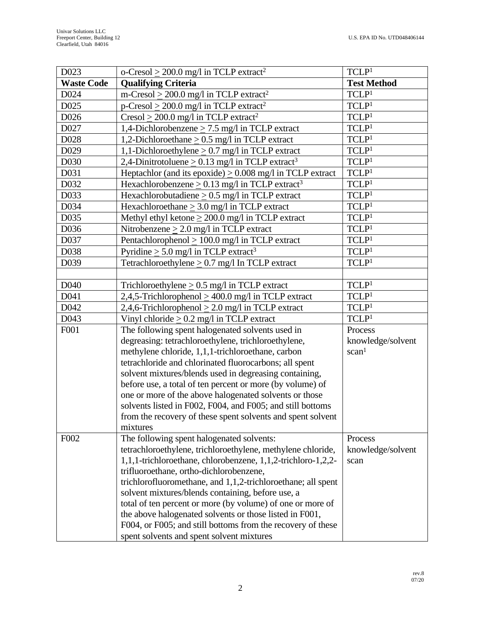| D023              | o-Cresol $\geq$ 200.0 mg/l in TCLP extract <sup>2</sup>          | TCLP <sup>1</sup>  |
|-------------------|------------------------------------------------------------------|--------------------|
| <b>Waste Code</b> | <b>Qualifying Criteria</b>                                       | <b>Test Method</b> |
| D024              | m-Cresol $\geq$ 200.0 mg/l in TCLP extract <sup>2</sup>          | TCLP <sup>1</sup>  |
| D025              | $p\text{-}Cresol \geq 200.0$ mg/l in TCLP extract <sup>2</sup>   | TCLP <sup>1</sup>  |
| D026              | $Cresol > 200.0$ mg/l in TCLP extract <sup>2</sup>               | TCLP <sup>1</sup>  |
| D027              | 1,4-Dichlorobenzene $\geq$ 7.5 mg/l in TCLP extract              | TCLP <sup>1</sup>  |
| D028              | 1,2-Dichloroethane $\geq$ 0.5 mg/l in TCLP extract               | TCLP <sup>1</sup>  |
| D029              | 1,1-Dichloroethylene $\geq$ 0.7 mg/l in TCLP extract             | TCLP <sup>1</sup>  |
| D030              | 2,4-Dinitrotoluene $\geq$ 0.13 mg/l in TCLP extract <sup>3</sup> | TCLP <sup>1</sup>  |
| D031              | Heptachlor (and its epoxide) $\geq$ 0.008 mg/l in TCLP extract   | TCLP <sup>1</sup>  |
| D032              | Hexachlorobenzene $\geq$ 0.13 mg/l in TCLP extract <sup>3</sup>  | TCLP <sup>1</sup>  |
| D033              | Hexachlorobutadiene $\geq$ 0.5 mg/l in TCLP extract              | TCLP <sup>1</sup>  |
| D034              | Hexachloroethane $\geq 3.0$ mg/l in TCLP extract                 | TCLP <sup>1</sup>  |
| D035              | Methyl ethyl ketone $\geq 200.0$ mg/l in TCLP extract            | TCLP <sup>1</sup>  |
| D036              | Nitrobenzene $\geq 2.0$ mg/l in TCLP extract                     | TCLP <sup>1</sup>  |
| D037              | Pentachlorophenol $> 100.0$ mg/l in TCLP extract                 | TCLP <sup>1</sup>  |
| D038              | Pyridine $\geq$ 5.0 mg/l in TCLP extract <sup>3</sup>            | TCLP <sup>1</sup>  |
| D039              | Tetrachloroethylene $> 0.7$ mg/l In TCLP extract                 | TCLP <sup>1</sup>  |
|                   |                                                                  |                    |
| D <sub>040</sub>  | Trichloroethylene $\geq 0.5$ mg/l in TCLP extract                | TCLP <sup>1</sup>  |
| D041              | 2,4,5-Trichlorophenol $\geq$ 400.0 mg/l in TCLP extract          | TCLP <sup>1</sup>  |
| D042              | 2,4,6-Trichlorophenol $\geq$ 2.0 mg/l in TCLP extract            | TCLP <sup>1</sup>  |
| D043              | Vinyl chloride $\geq$ 0.2 mg/l in TCLP extract                   | TCLP <sup>1</sup>  |
| F001              | The following spent halogenated solvents used in                 | Process            |
|                   | degreasing: tetrachloroethylene, trichloroethylene,              | knowledge/solvent  |
|                   | methylene chloride, 1,1,1-trichloroethane, carbon                | scan <sup>1</sup>  |
|                   | tetrachloride and chlorinated fluorocarbons; all spent           |                    |
|                   | solvent mixtures/blends used in degreasing containing,           |                    |
|                   | before use, a total of ten percent or more (by volume) of        |                    |
|                   | one or more of the above halogenated solvents or those           |                    |
|                   | solvents listed in F002, F004, and F005; and still bottoms       |                    |
|                   | from the recovery of these spent solvents and spent solvent      |                    |
|                   | mixtures                                                         |                    |
| F002              | The following spent halogenated solvents:                        | Process            |
|                   | tetrachloroethylene, trichloroethylene, methylene chloride,      | knowledge/solvent  |
|                   | 1,1,1-trichloroethane, chlorobenzene, 1,1,2-trichloro-1,2,2-     | scan               |
|                   | trifluoroethane, ortho-dichlorobenzene,                          |                    |
|                   | trichlorofluoromethane, and 1,1,2-trichloroethane; all spent     |                    |
|                   | solvent mixtures/blends containing, before use, a                |                    |
|                   | total of ten percent or more (by volume) of one or more of       |                    |
|                   | the above halogenated solvents or those listed in F001,          |                    |
|                   | F004, or F005; and still bottoms from the recovery of these      |                    |
|                   | spent solvents and spent solvent mixtures                        |                    |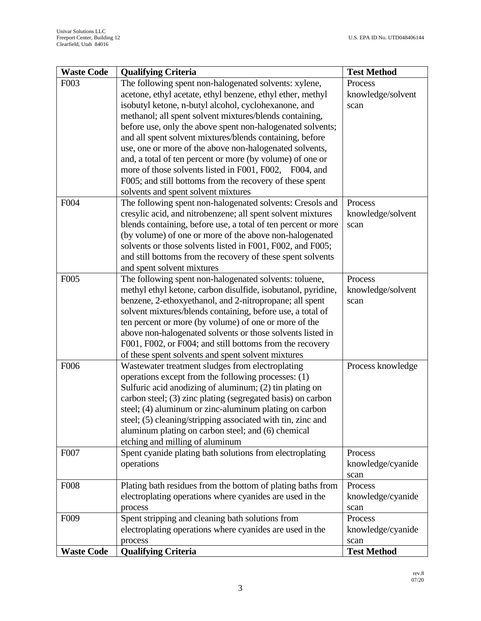| <b>Waste Code</b> | <b>Qualifying Criteria</b>                                                                                            | <b>Test Method</b>        |
|-------------------|-----------------------------------------------------------------------------------------------------------------------|---------------------------|
| F003              | The following spent non-halogenated solvents: xylene,                                                                 | Process                   |
|                   | acetone, ethyl acetate, ethyl benzene, ethyl ether, methyl                                                            | knowledge/solvent         |
|                   | isobutyl ketone, n-butyl alcohol, cyclohexanone, and                                                                  | scan                      |
|                   | methanol; all spent solvent mixtures/blends containing,                                                               |                           |
|                   | before use, only the above spent non-halogenated solvents;                                                            |                           |
|                   | and all spent solvent mixtures/blends containing, before                                                              |                           |
|                   | use, one or more of the above non-halogenated solvents,                                                               |                           |
|                   | and, a total of ten percent or more (by volume) of one or                                                             |                           |
|                   | more of those solvents listed in F001, F002, F004, and                                                                |                           |
|                   | F005; and still bottoms from the recovery of these spent                                                              |                           |
|                   | solvents and spent solvent mixtures                                                                                   |                           |
| F004              | The following spent non-halogenated solvents: Cresols and                                                             | Process                   |
|                   | cresylic acid, and nitrobenzene; all spent solvent mixtures                                                           | knowledge/solvent         |
|                   | blends containing, before use, a total of ten percent or more                                                         | scan                      |
|                   | (by volume) of one or more of the above non-halogenated<br>solvents or those solvents listed in F001, F002, and F005; |                           |
|                   | and still bottoms from the recovery of these spent solvents                                                           |                           |
|                   | and spent solvent mixtures                                                                                            |                           |
| F005              | The following spent non-halogenated solvents: toluene,                                                                | Process                   |
|                   | methyl ethyl ketone, carbon disulfide, isobutanol, pyridine,                                                          | knowledge/solvent         |
|                   | benzene, 2-ethoxyethanol, and 2-nitropropane; all spent                                                               | scan                      |
|                   | solvent mixtures/blends containing, before use, a total of                                                            |                           |
|                   | ten percent or more (by volume) of one or more of the                                                                 |                           |
|                   | above non-halogenated solvents or those solvents listed in                                                            |                           |
|                   | F001, F002, or F004; and still bottoms from the recovery                                                              |                           |
|                   | of these spent solvents and spent solvent mixtures                                                                    |                           |
| F006              | Wastewater treatment sludges from electroplating                                                                      | Process knowledge         |
|                   | operations except from the following processes: (1)                                                                   |                           |
|                   | Sulfuric acid anodizing of aluminum; (2) tin plating on                                                               |                           |
|                   | carbon steel; (3) zinc plating (segregated basis) on carbon                                                           |                           |
|                   | steel; (4) aluminum or zinc-aluminum plating on carbon                                                                |                           |
|                   | steel; (5) cleaning/stripping associated with tin, zinc and                                                           |                           |
|                   | aluminum plating on carbon steel; and (6) chemical                                                                    |                           |
|                   | etching and milling of aluminum                                                                                       |                           |
| F007              | Spent cyanide plating bath solutions from electroplating                                                              | Process                   |
|                   | operations                                                                                                            | knowledge/cyanide         |
|                   |                                                                                                                       | scan                      |
| <b>F008</b>       | Plating bath residues from the bottom of plating baths from                                                           | Process                   |
|                   | electroplating operations where cyanides are used in the                                                              | knowledge/cyanide         |
|                   | process                                                                                                               | scan<br><b>Process</b>    |
| F009              | Spent stripping and cleaning bath solutions from<br>electroplating operations where cyanides are used in the          |                           |
|                   | process                                                                                                               | knowledge/cyanide<br>scan |
| <b>Waste Code</b> | <b>Qualifying Criteria</b>                                                                                            | <b>Test Method</b>        |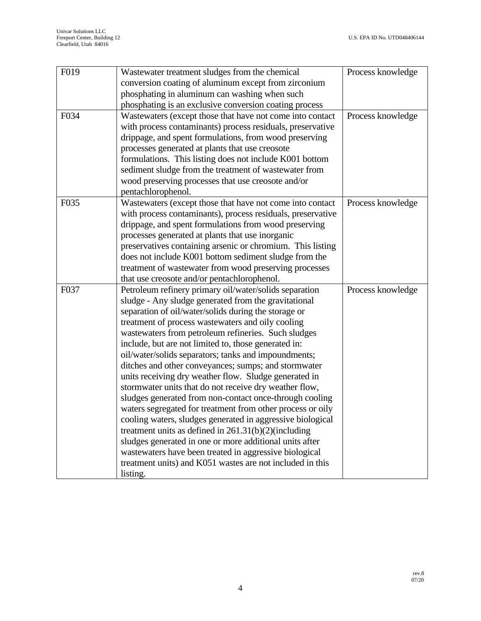| F019 | Wastewater treatment sludges from the chemical              | Process knowledge |
|------|-------------------------------------------------------------|-------------------|
|      | conversion coating of aluminum except from zirconium        |                   |
|      | phosphating in aluminum can washing when such               |                   |
|      | phosphating is an exclusive conversion coating process      |                   |
| F034 | Wastewaters (except those that have not come into contact   | Process knowledge |
|      | with process contaminants) process residuals, preservative  |                   |
|      | drippage, and spent formulations, from wood preserving      |                   |
|      | processes generated at plants that use creosote             |                   |
|      | formulations. This listing does not include K001 bottom     |                   |
|      | sediment sludge from the treatment of wastewater from       |                   |
|      | wood preserving processes that use creosote and/or          |                   |
|      | pentachlorophenol.                                          |                   |
| F035 | Wastewaters (except those that have not come into contact   | Process knowledge |
|      | with process contaminants), process residuals, preservative |                   |
|      | drippage, and spent formulations from wood preserving       |                   |
|      | processes generated at plants that use inorganic            |                   |
|      | preservatives containing arsenic or chromium. This listing  |                   |
|      | does not include K001 bottom sediment sludge from the       |                   |
|      | treatment of wastewater from wood preserving processes      |                   |
|      | that use creosote and/or pentachlorophenol.                 |                   |
| F037 | Petroleum refinery primary oil/water/solids separation      | Process knowledge |
|      | sludge - Any sludge generated from the gravitational        |                   |
|      | separation of oil/water/solids during the storage or        |                   |
|      | treatment of process wastewaters and oily cooling           |                   |
|      | wastewaters from petroleum refineries. Such sludges         |                   |
|      | include, but are not limited to, those generated in:        |                   |
|      | oil/water/solids separators; tanks and impoundments;        |                   |
|      | ditches and other conveyances; sumps; and stormwater        |                   |
|      | units receiving dry weather flow. Sludge generated in       |                   |
|      | stormwater units that do not receive dry weather flow,      |                   |
|      | sludges generated from non-contact once-through cooling     |                   |
|      | waters segregated for treatment from other process or oily  |                   |
|      | cooling waters, sludges generated in aggressive biological  |                   |
|      | treatment units as defined in $261.31(b)(2)$ (including     |                   |
|      | sludges generated in one or more additional units after     |                   |
|      | wastewaters have been treated in aggressive biological      |                   |
|      | treatment units) and K051 wastes are not included in this   |                   |
|      | listing.                                                    |                   |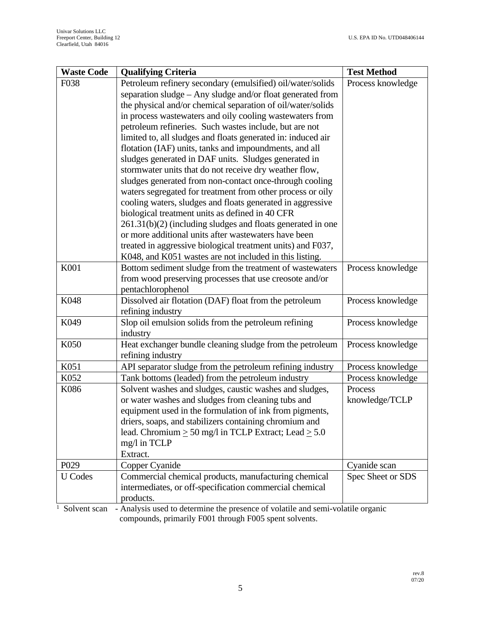| <b>Waste Code</b>         | <b>Qualifying Criteria</b>                                                    | <b>Test Method</b> |
|---------------------------|-------------------------------------------------------------------------------|--------------------|
| F038                      | Petroleum refinery secondary (emulsified) oil/water/solids                    | Process knowledge  |
|                           | separation sludge - Any sludge and/or float generated from                    |                    |
|                           | the physical and/or chemical separation of oil/water/solids                   |                    |
|                           | in process wastewaters and oily cooling wastewaters from                      |                    |
|                           | petroleum refineries. Such wastes include, but are not                        |                    |
|                           | limited to, all sludges and floats generated in: induced air                  |                    |
|                           | flotation (IAF) units, tanks and impoundments, and all                        |                    |
|                           | sludges generated in DAF units. Sludges generated in                          |                    |
|                           | stormwater units that do not receive dry weather flow,                        |                    |
|                           | sludges generated from non-contact once-through cooling                       |                    |
|                           | waters segregated for treatment from other process or oily                    |                    |
|                           | cooling waters, sludges and floats generated in aggressive                    |                    |
|                           | biological treatment units as defined in 40 CFR                               |                    |
|                           | $261.31(b)(2)$ (including sludges and floats generated in one                 |                    |
|                           | or more additional units after wastewaters have been                          |                    |
|                           | treated in aggressive biological treatment units) and F037,                   |                    |
|                           | K048, and K051 wastes are not included in this listing.                       |                    |
| K001                      | Bottom sediment sludge from the treatment of wastewaters                      | Process knowledge  |
|                           | from wood preserving processes that use creosote and/or                       |                    |
|                           | pentachlorophenol                                                             |                    |
| K048                      | Dissolved air flotation (DAF) float from the petroleum                        | Process knowledge  |
|                           | refining industry                                                             |                    |
| K049                      | Slop oil emulsion solids from the petroleum refining                          | Process knowledge  |
|                           | industry                                                                      |                    |
| K050                      | Heat exchanger bundle cleaning sludge from the petroleum                      | Process knowledge  |
|                           | refining industry                                                             |                    |
| K051                      | API separator sludge from the petroleum refining industry                     | Process knowledge  |
| K052                      | Tank bottoms (leaded) from the petroleum industry                             | Process knowledge  |
| K086                      | Solvent washes and sludges, caustic washes and sludges,                       | Process            |
|                           | or water washes and sludges from cleaning tubs and                            | knowledge/TCLP     |
|                           | equipment used in the formulation of ink from pigments,                       |                    |
|                           | driers, soaps, and stabilizers containing chromium and                        |                    |
|                           | lead. Chromium $\geq 50$ mg/l in TCLP Extract; Lead $\geq 5.0$                |                    |
|                           | mg/l in TCLP                                                                  |                    |
|                           | Extract.                                                                      |                    |
| P <sub>029</sub>          | Copper Cyanide                                                                | Cyanide scan       |
| <b>U</b> Codes            | Commercial chemical products, manufacturing chemical                          | Spec Sheet or SDS  |
|                           | intermediates, or off-specification commercial chemical                       |                    |
|                           | products.                                                                     |                    |
| <sup>1</sup> Solvent scan | Analysis used to determine the presence of volatile and semi-volatile organic |                    |

 Solvent scan - Analysis used to determine the presence of volatile and semi-volatile organic compounds, primarily F001 through F005 spent solvents.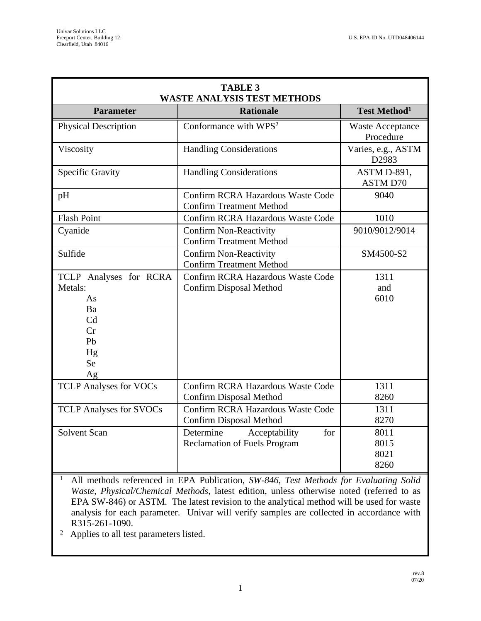| <b>TABLE 3</b><br><b>WASTE ANALYSIS TEST METHODS</b>                                                 |                                                                             |                                      |  |
|------------------------------------------------------------------------------------------------------|-----------------------------------------------------------------------------|--------------------------------------|--|
| <b>Parameter</b>                                                                                     | <b>Rationale</b>                                                            | <b>Test Method</b> <sup>1</sup>      |  |
| <b>Physical Description</b>                                                                          | Conformance with WPS <sup>2</sup>                                           | <b>Waste Acceptance</b><br>Procedure |  |
| Viscosity                                                                                            | <b>Handling Considerations</b>                                              | Varies, e.g., ASTM<br>D2983          |  |
| Specific Gravity                                                                                     | <b>Handling Considerations</b>                                              | ASTM D-891,<br><b>ASTM D70</b>       |  |
| pH                                                                                                   | <b>Confirm RCRA Hazardous Waste Code</b><br><b>Confirm Treatment Method</b> | 9040                                 |  |
| <b>Flash Point</b>                                                                                   | <b>Confirm RCRA Hazardous Waste Code</b>                                    | 1010                                 |  |
| Cyanide                                                                                              | <b>Confirm Non-Reactivity</b><br><b>Confirm Treatment Method</b>            | 9010/9012/9014                       |  |
| Sulfide                                                                                              | <b>Confirm Non-Reactivity</b><br><b>Confirm Treatment Method</b>            | SM4500-S2                            |  |
| TCLP Analyses for RCRA<br>Metals:<br>As<br>Ba<br>C <sub>d</sub><br>Cr<br>Pb<br>Hg<br><b>Se</b><br>Ag | Confirm RCRA Hazardous Waste Code<br><b>Confirm Disposal Method</b>         | 1311<br>and<br>6010                  |  |
| <b>TCLP</b> Analyses for VOCs                                                                        | <b>Confirm RCRA Hazardous Waste Code</b><br><b>Confirm Disposal Method</b>  | 1311<br>8260                         |  |
| <b>TCLP</b> Analyses for SVOCs                                                                       | <b>Confirm RCRA Hazardous Waste Code</b><br><b>Confirm Disposal Method</b>  | 1311<br>8270                         |  |
| <b>Solvent Scan</b>                                                                                  | Determine<br>for<br>Acceptability<br><b>Reclamation of Fuels Program</b>    | 8011<br>8015<br>8021<br>8260         |  |

1 All methods referenced in EPA Publication*, SW-846, Test Methods for Evaluating Solid Waste, Physical/Chemical Methods,* latest edition, unless otherwise noted (referred to as EPA SW-846) or ASTM. The latest revision to the analytical method will be used for waste analysis for each parameter. Univar will verify samples are collected in accordance with R315-261-1090.

<sup>2</sup> Applies to all test parameters listed.